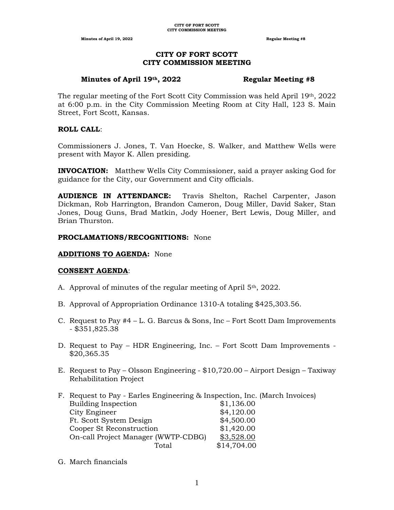#### **CITY OF FORT SCOTT CITY COMMISSION MEETING**

#### **Minutes of April 19th, 2022 Regular Meeting #8**

The regular meeting of the Fort Scott City Commission was held April 19th, 2022 at 6:00 p.m. in the City Commission Meeting Room at City Hall, 123 S. Main Street, Fort Scott, Kansas.

#### **ROLL CALL**:

Commissioners J. Jones, T. Van Hoecke, S. Walker, and Matthew Wells were present with Mayor K. Allen presiding.

**INVOCATION:** Matthew Wells City Commissioner, said a prayer asking God for guidance for the City, our Government and City officials.

**AUDIENCE IN ATTENDANCE:** Travis Shelton, Rachel Carpenter, Jason Dickman, Rob Harrington, Brandon Cameron, Doug Miller, David Saker, Stan Jones, Doug Guns, Brad Matkin, Jody Hoener, Bert Lewis, Doug Miller, and Brian Thurston.

#### **PROCLAMATIONS/RECOGNITIONS:** None

#### **ADDITIONS TO AGENDA:** None

#### **CONSENT AGENDA**:

- A. Approval of minutes of the regular meeting of April  $5<sup>th</sup>$ , 2022.
- B. Approval of Appropriation Ordinance 1310-A totaling \$425,303.56.
- C. Request to Pay #4 L. G. Barcus & Sons, Inc Fort Scott Dam Improvements - \$351,825.38
- D. Request to Pay HDR Engineering, Inc. Fort Scott Dam Improvements \$20,365.35
- E. Request to Pay Olsson Engineering \$10,720.00 Airport Design Taxiway Rehabilitation Project
- F. Request to Pay Earles Engineering & Inspection, Inc. (March Invoices) Building Inspection \$1,136.00 City Engineer  $\$\frac{4,120.00}{84}$ Ft. Scott System Design  $$4,500.00$ Cooper St Reconstruction  $$1,420.00$ On-call Project Manager (WWTP-CDBG) \$3,528.00 Total  $$14,704.00$
- G. March financials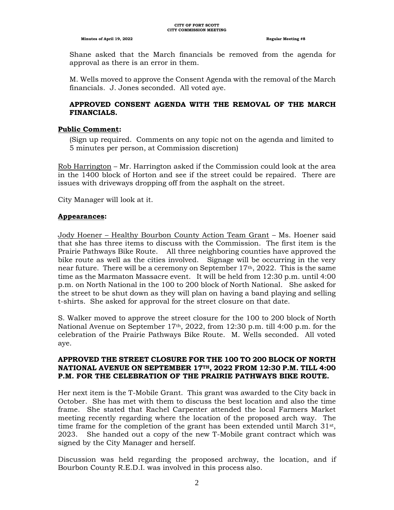Shane asked that the March financials be removed from the agenda for approval as there is an error in them.

M. Wells moved to approve the Consent Agenda with the removal of the March financials. J. Jones seconded. All voted aye.

## **APPROVED CONSENT AGENDA WITH THE REMOVAL OF THE MARCH FINANCIALS.**

#### **Public Comment:**

(Sign up required. Comments on any topic not on the agenda and limited to 5 minutes per person, at Commission discretion)

Rob Harrington – Mr. Harrington asked if the Commission could look at the area in the 1400 block of Horton and see if the street could be repaired. There are issues with driveways dropping off from the asphalt on the street.

City Manager will look at it.

#### **Appearances:**

Jody Hoener – Healthy Bourbon County Action Team Grant – Ms. Hoener said that she has three items to discuss with the Commission. The first item is the Prairie Pathways Bike Route. All three neighboring counties have approved the bike route as well as the cities involved. Signage will be occurring in the very near future. There will be a ceremony on September  $17<sup>th</sup>$ , 2022. This is the same time as the Marmaton Massacre event. It will be held from 12:30 p.m. until 4:00 p.m. on North National in the 100 to 200 block of North National. She asked for the street to be shut down as they will plan on having a band playing and selling t-shirts. She asked for approval for the street closure on that date.

S. Walker moved to approve the street closure for the 100 to 200 block of North National Avenue on September  $17<sup>th</sup>$ , 2022, from 12:30 p.m. till 4:00 p.m. for the celebration of the Prairie Pathways Bike Route. M. Wells seconded. All voted aye.

#### **APPROVED THE STREET CLOSURE FOR THE 100 TO 200 BLOCK OF NORTH NATIONAL AVENUE ON SEPTEMBER 17TH, 2022 FROM 12:30 P.M. TILL 4:00 P.M. FOR THE CELEBRATION OF THE PRAIRIE PATHWAYS BIKE ROUTE.**

Her next item is the T-Mobile Grant. This grant was awarded to the City back in October. She has met with them to discuss the best location and also the time frame. She stated that Rachel Carpenter attended the local Farmers Market meeting recently regarding where the location of the proposed arch way. The time frame for the completion of the grant has been extended until March  $31<sup>st</sup>$ , 2023. She handed out a copy of the new T-Mobile grant contract which was signed by the City Manager and herself.

Discussion was held regarding the proposed archway, the location, and if Bourbon County R.E.D.I. was involved in this process also.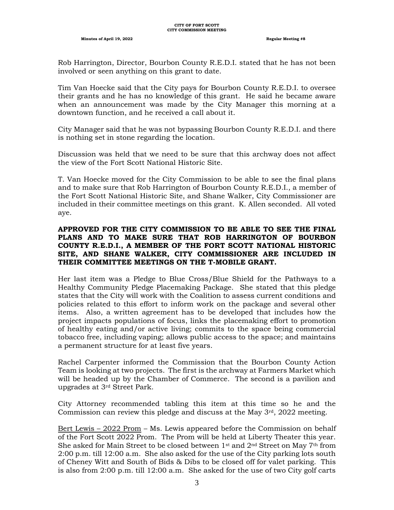Rob Harrington, Director, Bourbon County R.E.D.I. stated that he has not been involved or seen anything on this grant to date.

Tim Van Hoecke said that the City pays for Bourbon County R.E.D.I. to oversee their grants and he has no knowledge of this grant. He said he became aware when an announcement was made by the City Manager this morning at a downtown function, and he received a call about it.

City Manager said that he was not bypassing Bourbon County R.E.D.I. and there is nothing set in stone regarding the location.

Discussion was held that we need to be sure that this archway does not affect the view of the Fort Scott National Historic Site.

T. Van Hoecke moved for the City Commission to be able to see the final plans and to make sure that Rob Harrington of Bourbon County R.E.D.I., a member of the Fort Scott National Historic Site, and Shane Walker, City Commissioner are included in their committee meetings on this grant. K. Allen seconded. All voted aye.

#### **APPROVED FOR THE CITY COMMISSION TO BE ABLE TO SEE THE FINAL PLANS AND TO MAKE SURE THAT ROB HARRINGTON OF BOURBON COUNTY R.E.D.I., A MEMBER OF THE FORT SCOTT NATIONAL HISTORIC SITE, AND SHANE WALKER, CITY COMMISSIONER ARE INCLUDED IN THEIR COMMITTEE MEETINGS ON THE T-MOBILE GRANT.**

Her last item was a Pledge to Blue Cross/Blue Shield for the Pathways to a Healthy Community Pledge Placemaking Package. She stated that this pledge states that the City will work with the Coalition to assess current conditions and policies related to this effort to inform work on the package and several other items. Also, a written agreement has to be developed that includes how the project impacts populations of focus, links the placemaking effort to promotion of healthy eating and/or active living; commits to the space being commercial tobacco free, including vaping; allows public access to the space; and maintains a permanent structure for at least five years.

Rachel Carpenter informed the Commission that the Bourbon County Action Team is looking at two projects. The first is the archway at Farmers Market which will be headed up by the Chamber of Commerce. The second is a pavilion and upgrades at 3rd Street Park.

City Attorney recommended tabling this item at this time so he and the Commission can review this pledge and discuss at the May  $3<sup>rd</sup>$ , 2022 meeting.

Bert Lewis – 2022 Prom – Ms. Lewis appeared before the Commission on behalf of the Fort Scott 2022 Prom. The Prom will be held at Liberty Theater this year. She asked for Main Street to be closed between 1st and 2nd Street on May 7th from 2:00 p.m. till 12:00 a.m. She also asked for the use of the City parking lots south of Cheney Witt and South of Bids & Dibs to be closed off for valet parking. This is also from 2:00 p.m. till 12:00 a.m. She asked for the use of two City golf carts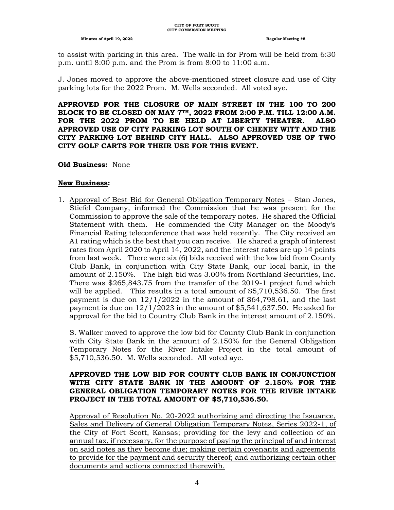to assist with parking in this area. The walk-in for Prom will be held from 6:30 p.m. until 8:00 p.m. and the Prom is from 8:00 to 11:00 a.m.

J. Jones moved to approve the above-mentioned street closure and use of City parking lots for the 2022 Prom. M. Wells seconded. All voted aye.

**APPROVED FOR THE CLOSURE OF MAIN STREET IN THE 100 TO 200 BLOCK TO BE CLOSED ON MAY 7TH, 2022 FROM 2:00 P.M. TILL 12:00 A.M. FOR THE 2022 PROM TO BE HELD AT LIBERTY THEATER. ALSO APPROVED USE OF CITY PARKING LOT SOUTH OF CHENEY WITT AND THE CITY PARKING LOT BEHIND CITY HALL. ALSO APPROVED USE OF TWO CITY GOLF CARTS FOR THEIR USE FOR THIS EVENT.**

#### **Old Business:** None

#### **New Business:**

1. Approval of Best Bid for General Obligation Temporary Notes – Stan Jones, Stiefel Company, informed the Commission that he was present for the Commission to approve the sale of the temporary notes. He shared the Official Statement with them. He commended the City Manager on the Moody's Financial Rating teleconference that was held recently. The City received an A1 rating which is the best that you can receive. He shared a graph of interest rates from April 2020 to April 14, 2022, and the interest rates are up 14 points from last week. There were six (6) bids received with the low bid from County Club Bank, in conjunction with City State Bank, our local bank, in the amount of 2.150%. The high bid was 3.00% from Northland Securities, Inc. There was \$265,843.75 from the transfer of the 2019-1 project fund which will be applied. This results in a total amount of \$5,710,536.50. The first payment is due on  $12/1/2022$  in the amount of \$64,798.61, and the last payment is due on  $12/1/2023$  in the amount of \$5,541,637.50. He asked for approval for the bid to Country Club Bank in the interest amount of 2.150%.

S. Walker moved to approve the low bid for County Club Bank in conjunction with City State Bank in the amount of 2.150% for the General Obligation Temporary Notes for the River Intake Project in the total amount of \$5,710,536.50. M. Wells seconded. All voted aye.

#### **APPROVED THE LOW BID FOR COUNTY CLUB BANK IN CONJUNCTION WITH CITY STATE BANK IN THE AMOUNT OF 2.150% FOR THE GENERAL OBLIGATION TEMPORARY NOTES FOR THE RIVER INTAKE PROJECT IN THE TOTAL AMOUNT OF \$5,710,536.50.**

Approval of Resolution No. 20-2022 authorizing and directing the Issuance, Sales and Delivery of General Obligation Temporary Notes, Series 2022-1, of the City of Fort Scott, Kansas; providing for the levy and collection of an annual tax, if necessary, for the purpose of paying the principal of and interest on said notes as they become due; making certain covenants and agreements to provide for the payment and security thereof; and authorizing certain other documents and actions connected therewith.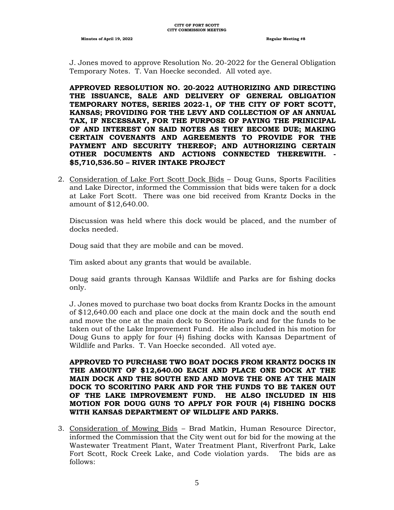J. Jones moved to approve Resolution No. 20-2022 for the General Obligation Temporary Notes. T. Van Hoecke seconded. All voted aye.

**APPROVED RESOLUTION NO. 20-2022 AUTHORIZING AND DIRECTING THE ISSUANCE, SALE AND DELIVERY OF GENERAL OBLIGATION TEMPORARY NOTES, SERIES 2022-1, OF THE CITY OF FORT SCOTT, KANSAS; PROVIDING FOR THE LEVY AND COLLECTION OF AN ANNUAL TAX, IF NECESSARY, FOR THE PURPOSE OF PAYING THE PRINICIPAL OF AND INTEREST ON SAID NOTES AS THEY BECOME DUE; MAKING CERTAIN COVENANTS AND AGREEMENTS TO PROVIDE FOR THE PAYMENT AND SECURITY THEREOF; AND AUTHORIZING CERTAIN OTHER DOCUMENTS AND ACTIONS CONNECTED THEREWITH. - \$5,710,536.50 – RIVER INTAKE PROJECT**

2. Consideration of Lake Fort Scott Dock Bids – Doug Guns, Sports Facilities and Lake Director, informed the Commission that bids were taken for a dock at Lake Fort Scott. There was one bid received from Krantz Docks in the amount of \$12,640.00.

Discussion was held where this dock would be placed, and the number of docks needed.

Doug said that they are mobile and can be moved.

Tim asked about any grants that would be available.

Doug said grants through Kansas Wildlife and Parks are for fishing docks only.

J. Jones moved to purchase two boat docks from Krantz Docks in the amount of \$12,640.00 each and place one dock at the main dock and the south end and move the one at the main dock to Scoritino Park and for the funds to be taken out of the Lake Improvement Fund. He also included in his motion for Doug Guns to apply for four (4) fishing docks with Kansas Department of Wildlife and Parks. T. Van Hoecke seconded. All voted aye.

**APPROVED TO PURCHASE TWO BOAT DOCKS FROM KRANTZ DOCKS IN THE AMOUNT OF \$12,640.00 EACH AND PLACE ONE DOCK AT THE MAIN DOCK AND THE SOUTH END AND MOVE THE ONE AT THE MAIN DOCK TO SCORITINO PARK AND FOR THE FUNDS TO BE TAKEN OUT OF THE LAKE IMPROVEMENT FUND. HE ALSO INCLUDED IN HIS MOTION FOR DOUG GUNS TO APPLY FOR FOUR (4) FISHING DOCKS WITH KANSAS DEPARTMENT OF WILDLIFE AND PARKS.**

3. Consideration of Mowing Bids – Brad Matkin, Human Resource Director, informed the Commission that the City went out for bid for the mowing at the Wastewater Treatment Plant, Water Treatment Plant, Riverfront Park, Lake Fort Scott, Rock Creek Lake, and Code violation yards. The bids are as follows: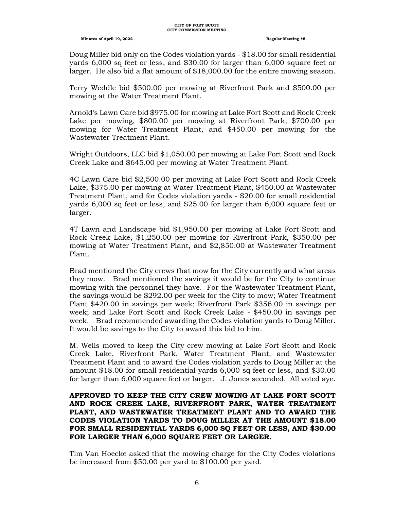Doug Miller bid only on the Codes violation yards - \$18.00 for small residential yards 6,000 sq feet or less, and \$30.00 for larger than 6,000 square feet or larger. He also bid a flat amount of \$18,000.00 for the entire mowing season.

Terry Weddle bid \$500.00 per mowing at Riverfront Park and \$500.00 per mowing at the Water Treatment Plant.

Arnold's Lawn Care bid \$975.00 for mowing at Lake Fort Scott and Rock Creek Lake per mowing, \$800.00 per mowing at Riverfront Park, \$700.00 per mowing for Water Treatment Plant, and \$450.00 per mowing for the Wastewater Treatment Plant.

Wright Outdoors, LLC bid \$1,050.00 per mowing at Lake Fort Scott and Rock Creek Lake and \$645.00 per mowing at Water Treatment Plant.

4C Lawn Care bid \$2,500.00 per mowing at Lake Fort Scott and Rock Creek Lake, \$375.00 per mowing at Water Treatment Plant, \$450.00 at Wastewater Treatment Plant, and for Codes violation yards - \$20.00 for small residential yards 6,000 sq feet or less, and \$25.00 for larger than 6,000 square feet or larger.

4T Lawn and Landscape bid \$1,950.00 per mowing at Lake Fort Scott and Rock Creek Lake, \$1,250.00 per mowing for Riverfront Park, \$350.00 per mowing at Water Treatment Plant, and \$2,850.00 at Wastewater Treatment Plant.

Brad mentioned the City crews that mow for the City currently and what areas they mow. Brad mentioned the savings it would be for the City to continue mowing with the personnel they have. For the Wastewater Treatment Plant, the savings would be \$292.00 per week for the City to mow; Water Treatment Plant \$420.00 in savings per week; Riverfront Park \$356.00 in savings per week; and Lake Fort Scott and Rock Creek Lake - \$450.00 in savings per week. Brad recommended awarding the Codes violation yards to Doug Miller. It would be savings to the City to award this bid to him.

M. Wells moved to keep the City crew mowing at Lake Fort Scott and Rock Creek Lake, Riverfront Park, Water Treatment Plant, and Wastewater Treatment Plant and to award the Codes violation yards to Doug Miller at the amount \$18.00 for small residential yards 6,000 sq feet or less, and \$30.00 for larger than 6,000 square feet or larger. J. Jones seconded. All voted aye.

#### **APPROVED TO KEEP THE CITY CREW MOWING AT LAKE FORT SCOTT AND ROCK CREEK LAKE, RIVERFRONT PARK, WATER TREATMENT PLANT, AND WASTEWATER TREATMENT PLANT AND TO AWARD THE CODES VIOLATION YARDS TO DOUG MILLER AT THE AMOUNT \$18.00 FOR SMALL RESIDENTIAL YARDS 6,000 SQ FEET OR LESS, AND \$30.00 FOR LARGER THAN 6,000 SQUARE FEET OR LARGER.**

Tim Van Hoecke asked that the mowing charge for the City Codes violations be increased from \$50.00 per yard to \$100.00 per yard.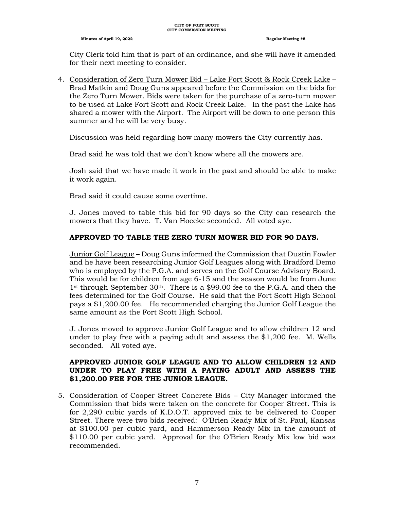City Clerk told him that is part of an ordinance, and she will have it amended for their next meeting to consider.

4. Consideration of Zero Turn Mower Bid – Lake Fort Scott & Rock Creek Lake – Brad Matkin and Doug Guns appeared before the Commission on the bids for the Zero Turn Mower. Bids were taken for the purchase of a zero-turn mower to be used at Lake Fort Scott and Rock Creek Lake. In the past the Lake has shared a mower with the Airport. The Airport will be down to one person this summer and he will be very busy.

Discussion was held regarding how many mowers the City currently has.

Brad said he was told that we don't know where all the mowers are.

Josh said that we have made it work in the past and should be able to make it work again.

Brad said it could cause some overtime.

J. Jones moved to table this bid for 90 days so the City can research the mowers that they have. T. Van Hoecke seconded. All voted aye.

## **APPROVED TO TABLE THE ZERO TURN MOWER BID FOR 90 DAYS.**

Junior Golf League – Doug Guns informed the Commission that Dustin Fowler and he have been researching Junior Golf Leagues along with Bradford Demo who is employed by the P.G.A. and serves on the Golf Course Advisory Board. This would be for children from age 6-15 and the season would be from June 1<sup>st</sup> through September 30<sup>th</sup>. There is a \$99.00 fee to the P.G.A. and then the fees determined for the Golf Course. He said that the Fort Scott High School pays a \$1,200.00 fee. He recommended charging the Junior Golf League the same amount as the Fort Scott High School.

J. Jones moved to approve Junior Golf League and to allow children 12 and under to play free with a paying adult and assess the \$1,200 fee. M. Wells seconded. All voted aye.

#### **APPROVED JUNIOR GOLF LEAGUE AND TO ALLOW CHILDREN 12 AND UNDER TO PLAY FREE WITH A PAYING ADULT AND ASSESS THE \$1,200.00 FEE FOR THE JUNIOR LEAGUE.**

5. Consideration of Cooper Street Concrete Bids – City Manager informed the Commission that bids were taken on the concrete for Cooper Street. This is for 2,290 cubic yards of K.D.O.T. approved mix to be delivered to Cooper Street. There were two bids received: O'Brien Ready Mix of St. Paul, Kansas at \$100.00 per cubic yard, and Hammerson Ready Mix in the amount of \$110.00 per cubic yard. Approval for the O'Brien Ready Mix low bid was recommended.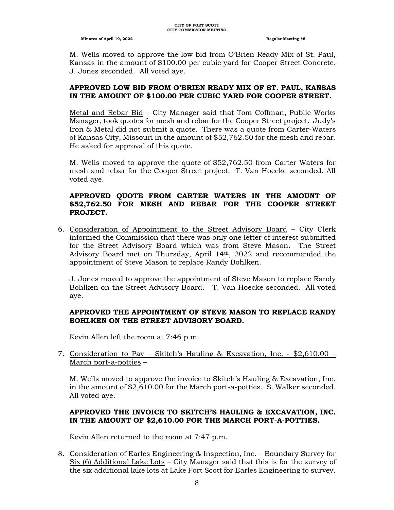M. Wells moved to approve the low bid from O'Brien Ready Mix of St. Paul, Kansas in the amount of \$100.00 per cubic yard for Cooper Street Concrete. J. Jones seconded. All voted aye.

#### **APPROVED LOW BID FROM O'BRIEN READY MIX OF ST. PAUL, KANSAS IN THE AMOUNT OF \$100.00 PER CUBIC YARD FOR COOPER STREET.**

Metal and Rebar Bid – City Manager said that Tom Coffman, Public Works Manager, took quotes for mesh and rebar for the Cooper Street project. Judy's Iron & Metal did not submit a quote. There was a quote from Carter-Waters of Kansas City, Missouri in the amount of \$52,762.50 for the mesh and rebar. He asked for approval of this quote.

M. Wells moved to approve the quote of \$52,762.50 from Carter Waters for mesh and rebar for the Cooper Street project. T. Van Hoecke seconded. All voted aye.

#### **APPROVED QUOTE FROM CARTER WATERS IN THE AMOUNT OF \$52,762.50 FOR MESH AND REBAR FOR THE COOPER STREET PROJECT.**

6. Consideration of Appointment to the Street Advisory Board – City Clerk informed the Commission that there was only one letter of interest submitted for the Street Advisory Board which was from Steve Mason. The Street Advisory Board met on Thursday, April  $14<sup>th</sup>$ , 2022 and recommended the appointment of Steve Mason to replace Randy Bohlken.

J. Jones moved to approve the appointment of Steve Mason to replace Randy Bohlken on the Street Advisory Board. T. Van Hoecke seconded. All voted aye.

#### **APPROVED THE APPOINTMENT OF STEVE MASON TO REPLACE RANDY BOHLKEN ON THE STREET ADVISORY BOARD.**

Kevin Allen left the room at 7:46 p.m.

7. Consideration to Pay – Skitch's Hauling & Excavation, Inc. - \$2,610.00 – March port-a-potties –

M. Wells moved to approve the invoice to Skitch's Hauling & Excavation, Inc. in the amount of \$2,610.00 for the March port-a-potties. S. Walker seconded. All voted aye.

## **APPROVED THE INVOICE TO SKITCH'S HAULING & EXCAVATION, INC. IN THE AMOUNT OF \$2,610.00 FOR THE MARCH PORT-A-POTTIES.**

Kevin Allen returned to the room at 7:47 p.m.

8. Consideration of Earles Engineering & Inspection, Inc. – Boundary Survey for Six (6) Additional Lake Lots – City Manager said that this is for the survey of the six additional lake lots at Lake Fort Scott for Earles Engineering to survey.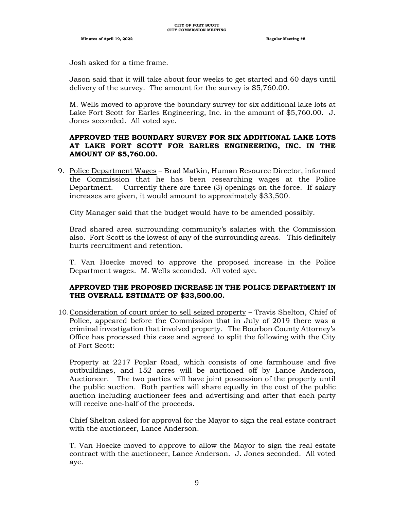Josh asked for a time frame.

Jason said that it will take about four weeks to get started and 60 days until delivery of the survey. The amount for the survey is \$5,760.00.

M. Wells moved to approve the boundary survey for six additional lake lots at Lake Fort Scott for Earles Engineering, Inc. in the amount of \$5,760.00. J. Jones seconded. All voted aye.

## **APPROVED THE BOUNDARY SURVEY FOR SIX ADDITIONAL LAKE LOTS AT LAKE FORT SCOTT FOR EARLES ENGINEERING, INC. IN THE AMOUNT OF \$5,760.00.**

9. Police Department Wages – Brad Matkin, Human Resource Director, informed the Commission that he has been researching wages at the Police Department. Currently there are three (3) openings on the force. If salary increases are given, it would amount to approximately \$33,500.

City Manager said that the budget would have to be amended possibly.

Brad shared area surrounding community's salaries with the Commission also. Fort Scott is the lowest of any of the surrounding areas. This definitely hurts recruitment and retention.

T. Van Hoecke moved to approve the proposed increase in the Police Department wages. M. Wells seconded. All voted aye.

#### **APPROVED THE PROPOSED INCREASE IN THE POLICE DEPARTMENT IN THE OVERALL ESTIMATE OF \$33,500.00.**

10.Consideration of court order to sell seized property – Travis Shelton, Chief of Police, appeared before the Commission that in July of 2019 there was a criminal investigation that involved property. The Bourbon County Attorney's Office has processed this case and agreed to split the following with the City of Fort Scott:

Property at 2217 Poplar Road, which consists of one farmhouse and five outbuildings, and 152 acres will be auctioned off by Lance Anderson, Auctioneer. The two parties will have joint possession of the property until the public auction. Both parties will share equally in the cost of the public auction including auctioneer fees and advertising and after that each party will receive one-half of the proceeds.

Chief Shelton asked for approval for the Mayor to sign the real estate contract with the auctioneer, Lance Anderson.

T. Van Hoecke moved to approve to allow the Mayor to sign the real estate contract with the auctioneer, Lance Anderson. J. Jones seconded. All voted aye.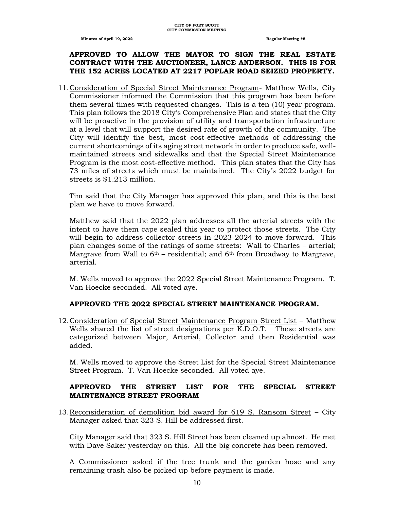## **APPROVED TO ALLOW THE MAYOR TO SIGN THE REAL ESTATE CONTRACT WITH THE AUCTIONEER, LANCE ANDERSON. THIS IS FOR THE 152 ACRES LOCATED AT 2217 POPLAR ROAD SEIZED PROPERTY.**

11.Consideration of Special Street Maintenance Program- Matthew Wells, City Commissioner informed the Commission that this program has been before them several times with requested changes. This is a ten (10) year program. This plan follows the 2018 City's Comprehensive Plan and states that the City will be proactive in the provision of utility and transportation infrastructure at a level that will support the desired rate of growth of the community. The City will identify the best, most cost-effective methods of addressing the current shortcomings of its aging street network in order to produce safe, wellmaintained streets and sidewalks and that the Special Street Maintenance Program is the most cost-effective method. This plan states that the City has 73 miles of streets which must be maintained. The City's 2022 budget for streets is \$1.213 million.

Tim said that the City Manager has approved this plan, and this is the best plan we have to move forward.

Matthew said that the 2022 plan addresses all the arterial streets with the intent to have them cape sealed this year to protect those streets. The City will begin to address collector streets in 2023-2024 to move forward. This plan changes some of the ratings of some streets: Wall to Charles – arterial; Margrave from Wall to  $6<sup>th</sup>$  – residential; and  $6<sup>th</sup>$  from Broadway to Margrave, arterial.

M. Wells moved to approve the 2022 Special Street Maintenance Program. T. Van Hoecke seconded. All voted aye.

# **APPROVED THE 2022 SPECIAL STREET MAINTENANCE PROGRAM.**

12.Consideration of Special Street Maintenance Program Street List – Matthew Wells shared the list of street designations per K.D.O.T. These streets are categorized between Major, Arterial, Collector and then Residential was added.

M. Wells moved to approve the Street List for the Special Street Maintenance Street Program. T. Van Hoecke seconded. All voted aye.

## **APPROVED THE STREET LIST FOR THE SPECIAL STREET MAINTENANCE STREET PROGRAM**

13.Reconsideration of demolition bid award for 619 S. Ransom Street – City Manager asked that 323 S. Hill be addressed first.

City Manager said that 323 S. Hill Street has been cleaned up almost. He met with Dave Saker yesterday on this. All the big concrete has been removed.

A Commissioner asked if the tree trunk and the garden hose and any remaining trash also be picked up before payment is made.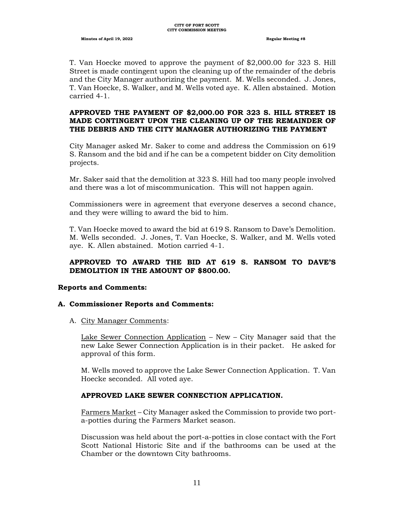T. Van Hoecke moved to approve the payment of \$2,000.00 for 323 S. Hill Street is made contingent upon the cleaning up of the remainder of the debris and the City Manager authorizing the payment. M. Wells seconded. J. Jones, T. Van Hoecke, S. Walker, and M. Wells voted aye. K. Allen abstained. Motion carried 4-1.

#### **APPROVED THE PAYMENT OF \$2,000.00 FOR 323 S. HILL STREET IS MADE CONTINGENT UPON THE CLEANING UP OF THE REMAINDER OF THE DEBRIS AND THE CITY MANAGER AUTHORIZING THE PAYMENT**

City Manager asked Mr. Saker to come and address the Commission on 619 S. Ransom and the bid and if he can be a competent bidder on City demolition projects.

Mr. Saker said that the demolition at 323 S. Hill had too many people involved and there was a lot of miscommunication. This will not happen again.

Commissioners were in agreement that everyone deserves a second chance, and they were willing to award the bid to him.

T. Van Hoecke moved to award the bid at 619 S. Ransom to Dave's Demolition. M. Wells seconded. J. Jones, T. Van Hoecke, S. Walker, and M. Wells voted aye. K. Allen abstained. Motion carried 4-1.

## **APPROVED TO AWARD THE BID AT 619 S. RANSOM TO DAVE'S DEMOLITION IN THE AMOUNT OF \$800.00.**

#### **Reports and Comments:**

#### **A. Commissioner Reports and Comments:**

A. City Manager Comments:

Lake Sewer Connection Application – New – City Manager said that the new Lake Sewer Connection Application is in their packet. He asked for approval of this form.

M. Wells moved to approve the Lake Sewer Connection Application. T. Van Hoecke seconded. All voted aye.

#### **APPROVED LAKE SEWER CONNECTION APPLICATION.**

Farmers Market – City Manager asked the Commission to provide two porta-potties during the Farmers Market season.

Discussion was held about the port-a-potties in close contact with the Fort Scott National Historic Site and if the bathrooms can be used at the Chamber or the downtown City bathrooms.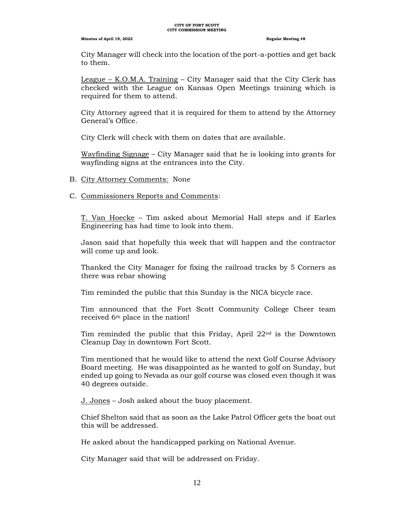#### **CITY OF FORT SCOTT CITY COMMISSION MEETING**

#### **Minutes of April 19, 2022 Regular Meeting #8**

City Manager will check into the location of the port-a-potties and get back to them.

League – K.O.M.A. Training – City Manager said that the City Clerk has checked with the League on Kansas Open Meetings training which is required for them to attend.

City Attorney agreed that it is required for them to attend by the Attorney General's Office.

City Clerk will check with them on dates that are available.

Wayfinding Signage – City Manager said that he is looking into grants for wayfinding signs at the entrances into the City.

- B. City Attorney Comments: None
- C. Commissioners Reports and Comments:

T. Van Hoecke – Tim asked about Memorial Hall steps and if Earles Engineering has had time to look into them.

Jason said that hopefully this week that will happen and the contractor will come up and look.

Thanked the City Manager for fixing the railroad tracks by 5 Corners as there was rebar showing

Tim reminded the public that this Sunday is the NICA bicycle race.

Tim announced that the Fort Scott Community College Cheer team received 6th place in the nation!

Tim reminded the public that this Friday, April 22nd is the Downtown Cleanup Day in downtown Fort Scott.

Tim mentioned that he would like to attend the next Golf Course Advisory Board meeting. He was disappointed as he wanted to golf on Sunday, but ended up going to Nevada as our golf course was closed even though it was 40 degrees outside.

J. Jones – Josh asked about the buoy placement.

Chief Shelton said that as soon as the Lake Patrol Officer gets the boat out this will be addressed.

He asked about the handicapped parking on National Avenue.

City Manager said that will be addressed on Friday.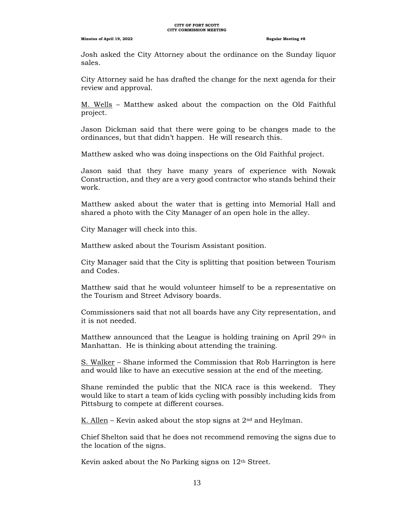#### **CITY OF FORT SCOTT CITY COMMISSION MEETING**

#### **Minutes of April 19, 2022 Regular Meeting #8**

Josh asked the City Attorney about the ordinance on the Sunday liquor sales.

City Attorney said he has drafted the change for the next agenda for their review and approval.

M. Wells – Matthew asked about the compaction on the Old Faithful project.

Jason Dickman said that there were going to be changes made to the ordinances, but that didn't happen. He will research this.

Matthew asked who was doing inspections on the Old Faithful project.

Jason said that they have many years of experience with Nowak Construction, and they are a very good contractor who stands behind their work.

Matthew asked about the water that is getting into Memorial Hall and shared a photo with the City Manager of an open hole in the alley.

City Manager will check into this.

Matthew asked about the Tourism Assistant position.

City Manager said that the City is splitting that position between Tourism and Codes.

Matthew said that he would volunteer himself to be a representative on the Tourism and Street Advisory boards.

Commissioners said that not all boards have any City representation, and it is not needed.

Matthew announced that the League is holding training on April  $29<sup>th</sup>$  in Manhattan. He is thinking about attending the training.

S. Walker – Shane informed the Commission that Rob Harrington is here and would like to have an executive session at the end of the meeting.

Shane reminded the public that the NICA race is this weekend. They would like to start a team of kids cycling with possibly including kids from Pittsburg to compete at different courses.

K. Allen – Kevin asked about the stop signs at  $2<sup>nd</sup>$  and Heylman.

Chief Shelton said that he does not recommend removing the signs due to the location of the signs.

Kevin asked about the No Parking signs on 12th Street.